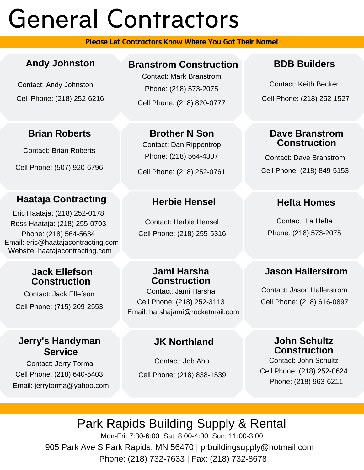# General Contractors

Please Let Contractors Know Where You Got Their Name!

## **Andy Johnston**

Contact: Andy Johnston Cell Phone: (218) 252-6216

## **Brian Roberts**

Contact: Brian Roberts

Cell Phone: (507) 920-6796

## **Haataja Contracting**

Phone: (218) 564-5634 Eric Haataja: (218) 252-0178 Email: eric@haatajacontracting.com Website: haatajacontracting.com Ross Haataja: (218) 255-0703

## **Jack Ellefson Construction**

Contact: Jack Ellefson Cell Phone: (715) 209-2553

## **Jerry's Handyman Service**

Contact: Jerry Torma Cell Phone: (218) 640-5403 Email: jerrytorma@yahoo.com

## **Branstrom Construction**

Contact: Mark Branstrom Phone: (218) 573-2075 Cell Phone: (218) 820-0777

## **Brother N Son**

Contact: Dan Rippentrop Phone: (218) 564-4307

Cell Phone: (218) 252-0761

## **Herbie Hensel**

Contact: Herbie Hensel Cell Phone: (218) 255-5316

## **Jami Harsha Construction**

Contact: Jami Harsha Cell Phone: (218) 252-3113 Email: harshajami@rocketmail.com

## **JK Northland**

Contact: Job Aho Cell Phone: (218) 838-1539

## **BDB Builders**

Contact: Keith Becker Cell Phone: (218) 252-1527

#### **Dave Branstrom Construction**

Contact: Dave Branstrom Cell Phone: (218) 849-5153

## **Hefta Homes**

Contact: Ira Hefta Phone: (218) 573-2075

## **Jason Hallerstrom**

Contact: Jason Hallerstrom Cell Phone: (218) 616-0897

#### **John Schultz Construction**

Contact: John Schultz Cell Phone: (218) 252-0624 Phone: (218) 963-6211

# Park Rapids Building Supply & Rental

905 Park Ave S Park Rapids, MN 56470 | prbuildingsupply@hotmail.com Phone: (218) 732-7633 | Fax: (218) 732-8678 Mon-Fri: 7:30-6:00 Sat: 8:00-4:00 Sun: 11:00-3:00